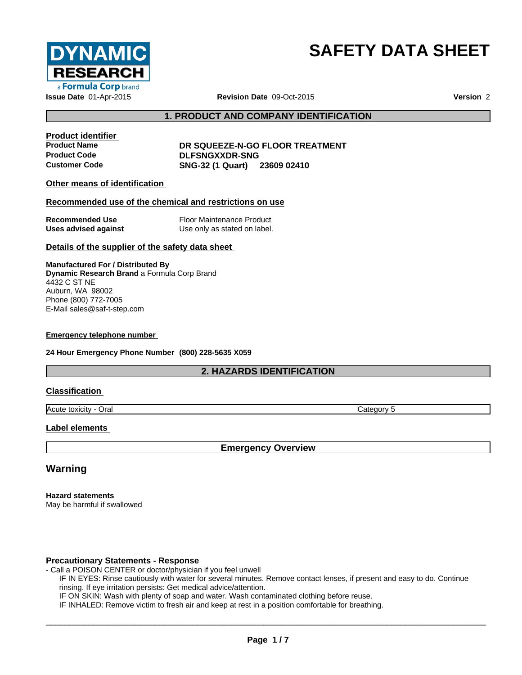

# **SAFETY DATA SHEET**

## **1. PRODUCT AND COMPANY IDENTIFICATION**

**Product identifier**

**Product Name DR SQUEEZE-N-GO FLOOR TREATMENT Product Code DLFSNGXXDR-SNG Customer Code SNG-32 (1 Quart) 23609 02410**

## **Other means of identification**

### **Recommended use of the chemical and restrictions on use**

| <b>Recommended Use</b> | Floor Maintenance Product    |
|------------------------|------------------------------|
| Uses advised against   | Use only as stated on label. |

### **Details of the supplier of the safety data sheet**

**Manufactured For / Distributed By Dynamic Research Brand** a Formula Corp Brand 4432 C ST NE Auburn, WA 98002 Phone (800) 772-7005 E-Mail sales@saf-t-step.com

#### **Emergency telephone number**

**24 Hour Emergency Phone Number (800) 228-5635 X059**

## **2. HAZARDS IDENTIFICATION**

## **Classification**

Acute toxicity - Oral Category 5

### **Label elements**

**Emergency Overview**

## **Warning**

**Hazard statements** May be harmful if swallowed

### **Precautionary Statements - Response**

- Call a POISON CENTER or doctor/physician if you feel unwell
	- IF IN EYES: Rinse cautiously with water for several minutes. Remove contact lenses, if present and easy to do. Continue rinsing. If eye irritation persists: Get medical advice/attention.
		- IF ON SKIN: Wash with plenty of soap and water. Wash contaminated clothing before reuse.

IF INHALED: Remove victim to fresh air and keep at rest in a position comfortable for breathing.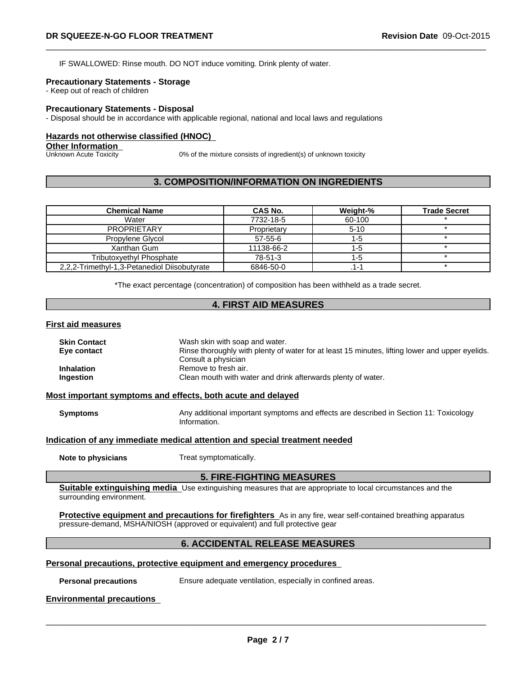IF SWALLOWED: Rinse mouth. DO NOT induce vomiting. Drink plenty of water.

## **Precautionary Statements - Storage**

- Keep out of reach of children

### **Precautionary Statements - Disposal**

- Disposal should be in accordance with applicable regional, national and local laws and regulations

## **Hazards not otherwise classified (HNOC)**

## **Other Information**<br>Unknown Acute Toxicity

0% of the mixture consists of ingredient(s) of unknown toxicity

## **3. COMPOSITION/INFORMATION ON INGREDIENTS**

| <b>Chemical Name</b>                         | CAS No.       | Weight-% | <b>Trade Secret</b> |
|----------------------------------------------|---------------|----------|---------------------|
| Water                                        | 7732-18-5     | 60-100   |                     |
| <b>PROPRIETARY</b>                           | Proprietary   | $5-10$   |                     |
| Propylene Glycol                             | $57 - 55 - 6$ | l -5     |                     |
| Xanthan Gum                                  | 11138-66-2    |          |                     |
| Tributoxvethvl Phosphate                     | 78-51-3       | I -5     |                     |
| 2,2,2-Trimethyl-1,3-Petanediol Diisobutyrate | 6846-50-0     | .1-1     |                     |

\*The exact percentage (concentration) of composition has been withheld as a trade secret.

## **4. FIRST AID MEASURES**

### **First aid measures**

| Wash skin with soap and water.                                                                                           |  |
|--------------------------------------------------------------------------------------------------------------------------|--|
| Rinse thoroughly with plenty of water for at least 15 minutes, lifting lower and upper eyelids.<br>Consult a physician   |  |
| Remove to fresh air.                                                                                                     |  |
| Clean mouth with water and drink afterwards plenty of water.                                                             |  |
| Most important symptoms and effects, both acute and delayed                                                              |  |
| Any additional important symptoms and effects are described in Section 11: Toxicology<br><b>Symptoms</b><br>Information. |  |
| Indication of any immediate medical attention and special treatment needed                                               |  |
| Treat symptomatically.                                                                                                   |  |
| <b>5. FIRE-FIGHTING MEASURES</b>                                                                                         |  |
|                                                                                                                          |  |

**Suitable extinguishing media** Use extinguishing measures that are appropriate to local circumstances and the surrounding environment.

**Protective equipment and precautions for firefighters** As in any fire, wear self-contained breathing apparatus pressure-demand, MSHA/NIOSH (approved or equivalent) and full protective gear

## **6. ACCIDENTAL RELEASE MEASURES**

## **Personal precautions, protective equipment and emergency procedures**

**Personal precautions** Ensure adequate ventilation, especially in confined areas.

#### **Environmental precautions**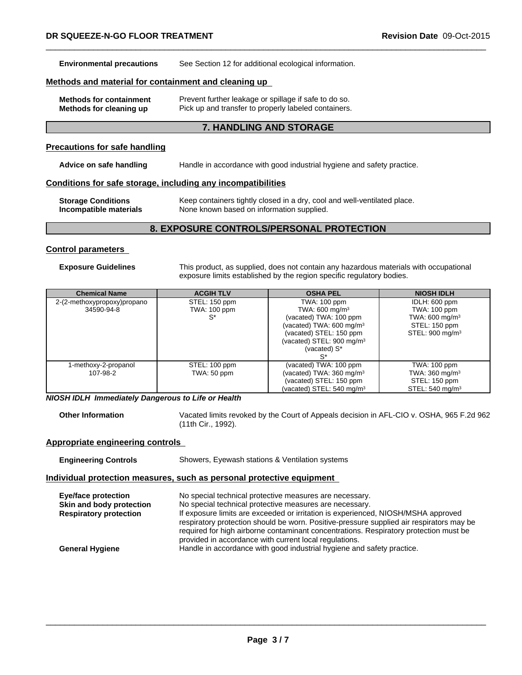**Environmental precautions** See Section 12 for additional ecological information.

## **Methods and material for containment and cleaning up**

| <b>Methods for containment</b> | Prevent further leakage or spillage if safe to do so. |
|--------------------------------|-------------------------------------------------------|
| Methods for cleaning up        | Pick up and transfer to properly labeled containers.  |

## **7. HANDLING AND STORAGE**

#### **Precautions for safe handling**

**Advice on safe handling** Handle in accordance with good industrial hygiene and safety practice.

## **Conditions for safe storage, including any incompatibilities**

| <b>Storage Conditions</b> | Keep containers tightly closed in a dry, cool and well-ventilated place. |
|---------------------------|--------------------------------------------------------------------------|
| Incompatible materials    | None known based on information supplied.                                |

## **8. EXPOSURE CONTROLS/PERSONAL PROTECTION**

## **Control parameters**

**Exposure Guidelines** This product, as supplied, does not contain any hazardous materials with occupational exposure limits established by the region specific regulatory bodies.

| <b>Chemical Name</b>        | <b>ACGIH TLV</b> | <b>OSHA PEL</b>                      | <b>NIOSH IDLH</b>           |
|-----------------------------|------------------|--------------------------------------|-----------------------------|
| 2-(2-methoxypropoxy)propano | STEL: 150 ppm    | TWA: 100 ppm                         | IDLH: 600 ppm               |
| 34590-94-8                  | TWA: 100 ppm     | TWA: 600 mg/m $3$                    | TWA: 100 ppm                |
|                             | S*               | (vacated) TWA: 100 ppm               | TWA: 600 mg/m $3$           |
|                             |                  | (vacated) TWA: 600 mg/m $3$          | STEL: 150 ppm               |
|                             |                  | (vacated) STEL: 150 ppm              | STEL: $900 \text{ mg/m}^3$  |
|                             |                  | (vacated) STEL: $900 \text{ mg/m}^3$ |                             |
|                             |                  | (vacated) S*                         |                             |
|                             |                  |                                      |                             |
| 1-methoxy-2-propanol        | STEL: 100 ppm    | (vacated) TWA: 100 ppm               | TWA: 100 ppm                |
| 107-98-2                    | TWA: 50 ppm      | (vacated) TWA: $360 \text{ mg/m}^3$  | TWA: $360 \text{ mg/m}^3$   |
|                             |                  | (vacated) STEL: 150 ppm              | STEL: 150 ppm               |
|                             |                  | (vacated) STEL: $540 \text{ mg/m}^3$ | STEL: 540 mg/m <sup>3</sup> |

*NIOSH IDLH Immediately Dangerous to Life or Health*

**Other Information** Vacated limits revoked by the Court of Appeals decision in AFL-CIO v.OSHA, 965 F.2d 962 (11th Cir., 1992).

## **Appropriate engineering controls**

| <b>Engineering Controls</b> | Showers, Eyewash stations & Ventilation systems |
|-----------------------------|-------------------------------------------------|
|-----------------------------|-------------------------------------------------|

## **Individual protection measures, such as personal protective equipment**

| Eye/face protection<br>Skin and body protection<br><b>Respiratory protection</b> | No special technical protective measures are necessary.<br>No special technical protective measures are necessary.<br>If exposure limits are exceeded or irritation is experienced, NIOSH/MSHA approved<br>respiratory protection should be worn. Positive-pressure supplied air respirators may be<br>required for high airborne contaminant concentrations. Respiratory protection must be<br>provided in accordance with current local regulations. |
|----------------------------------------------------------------------------------|--------------------------------------------------------------------------------------------------------------------------------------------------------------------------------------------------------------------------------------------------------------------------------------------------------------------------------------------------------------------------------------------------------------------------------------------------------|
| <b>General Hygiene</b>                                                           | Handle in accordance with good industrial hygiene and safety practice.                                                                                                                                                                                                                                                                                                                                                                                 |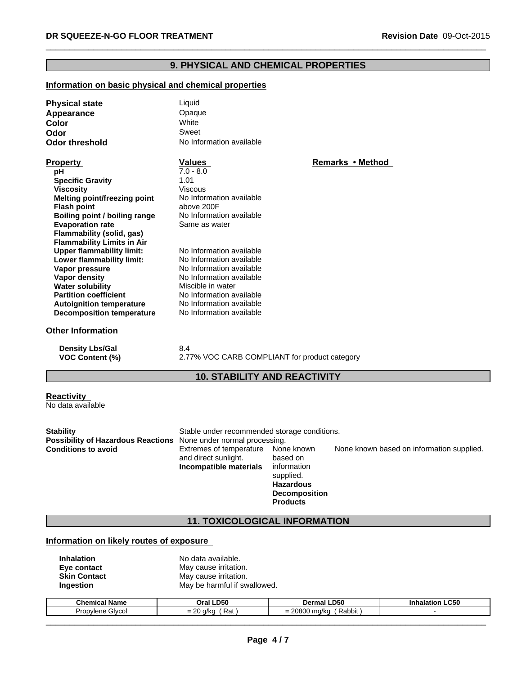## **9. PHYSICAL AND CHEMICAL PROPERTIES**

## **Information on basic physical and chemical properties**

| <b>Physical state</b>             | Liquid                   |                  |  |
|-----------------------------------|--------------------------|------------------|--|
| Appearance                        | Opaque                   |                  |  |
| Color                             | White                    |                  |  |
| Odor                              | Sweet                    |                  |  |
| <b>Odor threshold</b>             | No Information available |                  |  |
| <b>Property</b>                   | <b>Values</b>            | Remarks • Method |  |
| рH                                | $7.0 - 8.0$              |                  |  |
| <b>Specific Gravity</b>           | 1.01                     |                  |  |
| <b>Viscosity</b>                  | <b>Viscous</b>           |                  |  |
| Melting point/freezing point      | No Information available |                  |  |
| <b>Flash point</b>                | above 200F               |                  |  |
| Boiling point / boiling range     | No Information available |                  |  |
| <b>Evaporation rate</b>           | Same as water            |                  |  |
| Flammability (solid, gas)         |                          |                  |  |
| <b>Flammability Limits in Air</b> |                          |                  |  |
| <b>Upper flammability limit:</b>  | No Information available |                  |  |
| Lower flammability limit:         | No Information available |                  |  |
| Vapor pressure                    | No Information available |                  |  |
| Vapor density                     | No Information available |                  |  |
| <b>Water solubility</b>           | Miscible in water        |                  |  |
| <b>Partition coefficient</b>      | No Information available |                  |  |
| <b>Autoignition temperature</b>   | No Information available |                  |  |
| <b>Decomposition temperature</b>  | No Information available |                  |  |
| <b>Other Information</b>          |                          |                  |  |
| <b>Density Lbs/Gal</b>            | 8.4                      |                  |  |
|                                   |                          |                  |  |

**VOC Content (%)** 2.77% VOC CARB COMPLIANT for product category

## **10. STABILITY AND REACTIVITY**

| <b>Reactivity</b> |  |
|-------------------|--|
| No data available |  |

| <b>Stability</b><br><b>Possibility of Hazardous Reactions</b> None under normal processing. | Stable under recommended storage conditions.                              |                                                                                                                   |                                           |
|---------------------------------------------------------------------------------------------|---------------------------------------------------------------------------|-------------------------------------------------------------------------------------------------------------------|-------------------------------------------|
| <b>Conditions to avoid</b>                                                                  | Extremes of temperature<br>and direct sunlight.<br>Incompatible materials | None known<br>based on<br>information<br>supplied.<br><b>Hazardous</b><br><b>Decomposition</b><br><b>Products</b> | None known based on information supplied. |

## **11. TOXICOLOGICAL INFORMATION**

## **Information on likely routes of exposure**

| <b>Inhalation</b>   | No data available.           |
|---------------------|------------------------------|
| Eye contact         | May cause irritation.        |
| <b>Skin Contact</b> | May cause irritation.        |
| Ingestion           | May be harmful if swallowed. |

| <b>Chemical Name</b>       | <b>LD50</b>                             | <b>D50</b>                      | LC50.      |
|----------------------------|-----------------------------------------|---------------------------------|------------|
|                            | Dral                                    | Dermal                          | Inhalatior |
| Givcol<br><b>Propylenc</b> | $\sim$<br>Rat<br>$\sim$ llec<br>n.<br>∼ | 00000<br>Rabbit<br>ma/kc<br>uuu |            |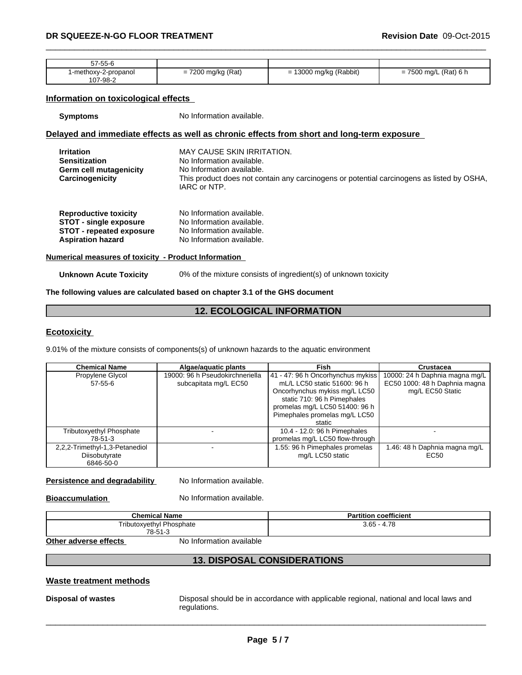| $   -$<br>57-55-6                   |                                                                                       |                                            |                                                             |
|-------------------------------------|---------------------------------------------------------------------------------------|--------------------------------------------|-------------------------------------------------------------|
| 2-propanol<br>-methox∨-∶<br>07-98-2 | (Rat)<br>7000<br>$\cdots$ matra $\cdots$<br>$\overline{\phantom{0}}$<br>ng/ng-<br>200 | J mg/kg (Rabbit)<br>∩∩מי<br>-<br>п.<br>. . | 7500<br>0 mg/L (Rat) 6 h<br>$\overline{\phantom{0}}$<br>vvv |

## **Information on toxicological effects**

**Symptoms** No Information available.

## **Delayed and immediate effects as well as chronic effects from short and long-term exposure**

| <b>Irritation</b><br><b>Sensitization</b><br><b>Germ cell mutagenicity</b><br>Carcinogenicity    | <b>MAY CAUSE SKIN IRRITATION.</b><br>No Information available.<br>No Information available.<br>This product does not contain any carcinogens or potential carcinogens as listed by OSHA,<br>IARC or NTP. |
|--------------------------------------------------------------------------------------------------|----------------------------------------------------------------------------------------------------------------------------------------------------------------------------------------------------------|
| <b>Reproductive toxicity</b><br><b>STOT - single exposure</b><br><b>STOT - repeated exposure</b> | No Information available.<br>No Information available.<br>No Information available.                                                                                                                      |
| <b>Aspiration hazard</b>                                                                         | No Information available.                                                                                                                                                                                |

## **Numerical measures of toxicity - Product Information**

**Unknown Acute Toxicity** 0% of the mixture consists of ingredient(s) of unknown toxicity

#### **The following values are calculated based on chapter 3.1 of the GHS document**

## **12. ECOLOGICAL INFORMATION**

## **Ecotoxicity**

9.01% of the mixture consists of components(s) of unknown hazards to the aquatic environment

| <b>Chemical Name</b>                                         | Algae/aguatic plants                                     | Fish                                                                                                                                                                                                           | Crustacea                                                                           |
|--------------------------------------------------------------|----------------------------------------------------------|----------------------------------------------------------------------------------------------------------------------------------------------------------------------------------------------------------------|-------------------------------------------------------------------------------------|
| Propylene Glycol<br>$57-55-6$                                | 19000: 96 h Pseudokirchneriella<br>subcapitata mg/L EC50 | 41 - 47: 96 h Oncorhynchus mykiss<br>mL/L LC50 static 51600: 96 h<br>Oncorhynchus mykiss mg/L LC50<br>static 710: 96 h Pimephales<br>promelas mg/L LC50 51400: 96 h<br>Pimephales promelas mg/L LC50<br>static | 10000: 24 h Daphnia magna mg/L<br>EC50 1000: 48 h Daphnia magna<br>mg/L EC50 Static |
| <b>Tributoxyethyl Phosphate</b><br>78-51-3                   |                                                          | 10.4 - 12.0: 96 h Pimephales<br>promelas mg/L LC50 flow-through                                                                                                                                                |                                                                                     |
| 2,2,2-Trimethyl-1,3-Petanediol<br>Diisobutyrate<br>6846-50-0 |                                                          | 1.55: 96 h Pimephales promelas<br>mg/L LC50 static                                                                                                                                                             | .46: 48 h Daphnia magna mg/L<br>EC50                                                |

## **Persistence and degradability** No Information available.

**Bioaccumulation** No Information available.

| <b>Chemical Name</b>        | <br>` coefficient<br>'artıtıon |
|-----------------------------|--------------------------------|
| Phosphate<br>Tributoxvethvl | .78<br>$3.65 - 4.$             |
| 78-51-3                     |                                |

**Other adverse effects** No Information available

## **13. DISPOSAL CONSIDERATIONS**

## **Waste treatment methods**

**Disposal of wastes** Disposal should be in accordance with applicable regional, national and local laws and regulations.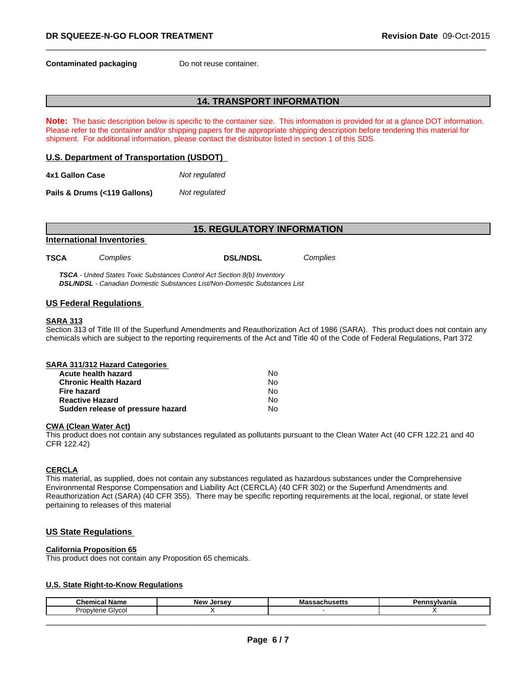**Contaminated packaging Do not reuse container.** 

## **14. TRANSPORT INFORMATION**

**Note:** The basic description below is specific to the container size. This information is provided for at a glance DOT information. Please refer to the container and/or shipping papers for the appropriate shipping description before tendering this material for shipment. For additional information, please contact the distributor listed in section 1 of this SDS.

### **U.S. Department of Transportation (USDOT)**

| 4x1 Gallon Case | Not regulated |
|-----------------|---------------|
|                 |               |

**Pails & Drums (<119 Gallons)***Not regulated*

| <b>15. REGULATORY INFORMATION</b> |          |                                                                          |          |  |  |
|-----------------------------------|----------|--------------------------------------------------------------------------|----------|--|--|
|                                   |          |                                                                          |          |  |  |
| <b>TSCA</b>                       | Complies | <b>DSL/NDSL</b>                                                          | Complies |  |  |
|                                   |          | TSCA - United States Toxic Substances Control Act Section 8(b) Inventory |          |  |  |

*DSL/NDSL - Canadian Domestic Substances List/Non-Domestic Substances List*

### **US Federal Regulations**

#### **SARA 313**

Section 313 of Title III of the Superfund Amendments and Reauthorization Act of 1986 (SARA). This product does not contain any chemicals which are subject to the reporting requirements of the Act and Title 40 of the Code of Federal Regulations, Part 372

| SARA 311/312 Hazard Categories    |    |  |
|-----------------------------------|----|--|
| Acute health hazard               | No |  |
| <b>Chronic Health Hazard</b>      | No |  |
| Fire hazard                       | No |  |
| <b>Reactive Hazard</b>            | No |  |
| Sudden release of pressure hazard | No |  |

### **CWA** (Clean Water Act)

This product does not contain any substances regulated as pollutants pursuant to the Clean Water Act (40 CFR 122.21 and 40 CFR 122.42)

### **CERCLA**

This material, as supplied, does not contain any substances regulated as hazardous substances under the Comprehensive Environmental Response Compensation and Liability Act (CERCLA) (40 CFR 302) or the Superfund Amendments and Reauthorization Act (SARA) (40 CFR 355). There may be specific reporting requirements at the local, regional, or state level pertaining to releases of this material

## **US State Regulations**

#### **California Proposition 65**

This product does not contain any Proposition 65 chemicals.

### **U.S. State Right-to-Know Regulations**

| <b>Chemical</b><br>Name                                  | <b>New</b><br><b>Larcay</b><br>$\sim$ | พเดออดบเเนอซแอ | −•<br>anıd |
|----------------------------------------------------------|---------------------------------------|----------------|------------|
| -<br>'<br>$1 - 1$<br>Inn<br><b>GIVCO</b><br>iene<br>าบมง |                                       |                |            |